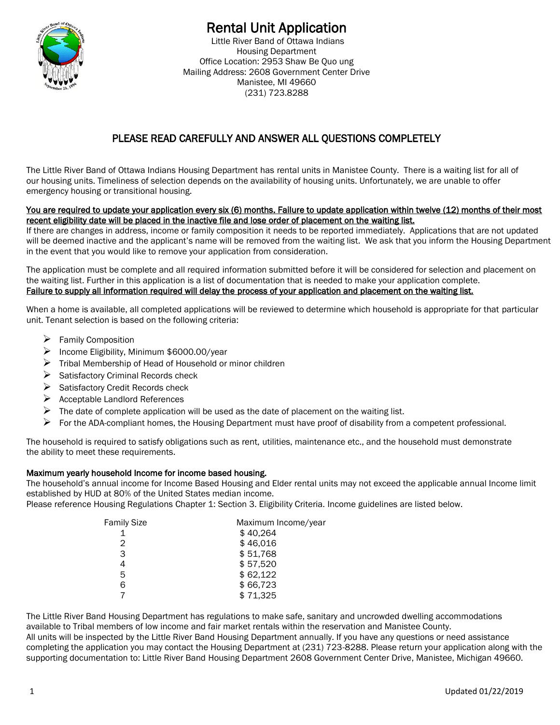

# Rental Unit Application

Little River Band of Ottawa Indians Housing Department Office Location: 2953 Shaw Be Quo ung Mailing Address: 2608 Government Center Drive Manistee, MI 49660 (231) 723.8288

# PLEASE READ CAREFULLY AND ANSWER ALL QUESTIONS COMPLETELY

The Little River Band of Ottawa Indians Housing Department has rental units in Manistee County. There is a waiting list for all of our housing units. Timeliness of selection depends on the availability of housing units. Unfortunately, we are unable to offer emergency housing or transitional housing.

#### You are required to update your application every six (6) months. Failure to update application within twelve (12) months of their most recent eligibility date will be placed in the inactive file and lose order of placement on the waiting list.

If there are changes in address, income or family composition it needs to be reported immediately. Applications that are not updated will be deemed inactive and the applicant's name will be removed from the waiting list. We ask that you inform the Housing Department in the event that you would like to remove your application from consideration.

The application must be complete and all required information submitted before it will be considered for selection and placement on the waiting list. Further in this application is a list of documentation that is needed to make your application complete. Failure to supply all information required will delay the process of your application and placement on the waiting list.

When a home is available, all completed applications will be reviewed to determine which household is appropriate for that particular unit. Tenant selection is based on the following criteria:

- ➢ Family Composition
- ➢ Income Eligibility, Minimum \$6000.00/year
- $\triangleright$  Tribal Membership of Head of Household or minor children
- ➢ Satisfactory Criminal Records check
- ➢ Satisfactory Credit Records check
- $\triangleright$  Acceptable Landlord References
- $\triangleright$  The date of complete application will be used as the date of placement on the waiting list.
- $\triangleright$  For the ADA-compliant homes, the Housing Department must have proof of disability from a competent professional.

The household is required to satisfy obligations such as rent, utilities, maintenance etc., and the household must demonstrate the ability to meet these requirements.

#### Maximum yearly household Income for income based housing.

The household's annual income for Income Based Housing and Elder rental units may not exceed the applicable annual Income limit established by HUD at 80% of the United States median income.

Please reference Housing Regulations Chapter 1: Section 3. Eligibility Criteria. Income guidelines are listed below.

| Maximum Income/year |
|---------------------|
| \$40,264            |
| \$46,016            |
| \$51,768            |
| \$57,520            |
| \$62,122            |
| \$66,723            |
| \$71,325            |
|                     |

The Little River Band Housing Department has regulations to make safe, sanitary and uncrowded dwelling accommodations available to Tribal members of low income and fair market rentals within the reservation and Manistee County. All units will be inspected by the Little River Band Housing Department annually. If you have any questions or need assistance completing the application you may contact the Housing Department at (231) 723-8288. Please return your application along with the supporting documentation to: Little River Band Housing Department 2608 Government Center Drive, Manistee, Michigan 49660.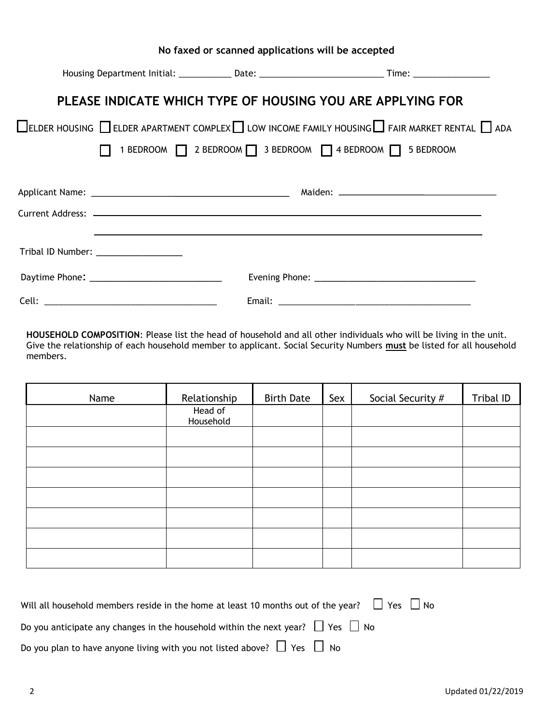|                                      | No faxed or scanned applications will be accepted                                |                                                                                                                           |
|--------------------------------------|----------------------------------------------------------------------------------|---------------------------------------------------------------------------------------------------------------------------|
|                                      |                                                                                  | Housing Department Initial: _______________Date: ________________________________Time: _______________________            |
|                                      | PLEASE INDICATE WHICH TYPE OF HOUSING YOU ARE APPLYING FOR                       |                                                                                                                           |
|                                      |                                                                                  | $\Box$ ELDER HOUSING $\Box$ ELDER APARTMENT COMPLEX $\Box$ LOW INCOME FAMILY HOUSING $\Box$ FAIR MARKET RENTAL $\Box$ ADA |
|                                      | 1 BEDROOM 1 2 BEDROOM 3 BEDROOM 1 4 BEDROOM 1 5 BEDROOM                          |                                                                                                                           |
|                                      |                                                                                  |                                                                                                                           |
|                                      |                                                                                  |                                                                                                                           |
|                                      |                                                                                  |                                                                                                                           |
|                                      | ,我们也不会有什么。""我们的人,我们也不会有什么?""我们的人,我们也不会有什么?""我们的人,我们也不会有什么?""我们的人,我们也不会有什么?""我们的人 |                                                                                                                           |
| Tribal ID Number: __________________ |                                                                                  |                                                                                                                           |
|                                      |                                                                                  |                                                                                                                           |
|                                      |                                                                                  |                                                                                                                           |

**HOUSEHOLD COMPOSITION**: Please list the head of household and all other individuals who will be living in the unit. Give the relationship of each household member to applicant. Social Security Numbers **must** be listed for all household members.

| Name | Relationship         | <b>Birth Date</b> | Sex | Social Security # | Tribal ID |
|------|----------------------|-------------------|-----|-------------------|-----------|
|      | Head of<br>Household |                   |     |                   |           |
|      |                      |                   |     |                   |           |
|      |                      |                   |     |                   |           |
|      |                      |                   |     |                   |           |
|      |                      |                   |     |                   |           |
|      |                      |                   |     |                   |           |
|      |                      |                   |     |                   |           |
|      |                      |                   |     |                   |           |

| Will all household members reside in the home at least 10 months out of the year? $\Box$ Yes $\Box$ No |  |
|--------------------------------------------------------------------------------------------------------|--|
| Do you anticipate any changes in the household within the next year? $\Box$ Yes $\Box$ No              |  |
| Do you plan to have anyone living with you not listed above? $\Box$ Yes $\Box$ No                      |  |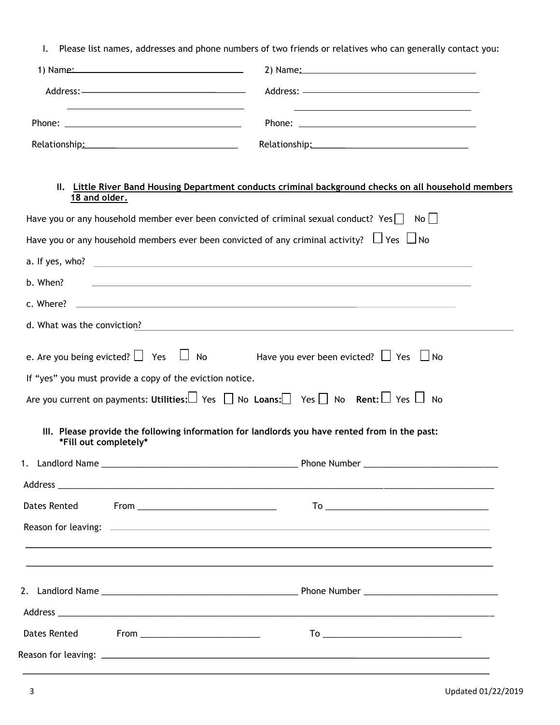I. Please list names, addresses and phone numbers of two friends or relatives who can generally contact you:

|                             | <u> 1999 - Johann John Stoff, deutscher Stoffen und der Stoffen und der Stoffen und der Stoffen und der Stoffen un</u>                                                                                                        |                                                                                                                                 |  |
|-----------------------------|-------------------------------------------------------------------------------------------------------------------------------------------------------------------------------------------------------------------------------|---------------------------------------------------------------------------------------------------------------------------------|--|
|                             | Relationship: Network and Container and Container and Container and Container and Container and Container and Container and Container and Container and Container and Container and Container and Container and Container and |                                                                                                                                 |  |
| 18 and older.               |                                                                                                                                                                                                                               | II. Little River Band Housing Department conducts criminal background checks on all household members                           |  |
|                             |                                                                                                                                                                                                                               | Have you or any household member ever been convicted of criminal sexual conduct? Yes $\vert \cdot \vert$ No $\vert \cdot \vert$ |  |
|                             |                                                                                                                                                                                                                               | Have you or any household members ever been convicted of any criminal activity? $\Box$ Yes $\Box$ No                            |  |
|                             |                                                                                                                                                                                                                               |                                                                                                                                 |  |
| b. When?                    |                                                                                                                                                                                                                               |                                                                                                                                 |  |
|                             |                                                                                                                                                                                                                               |                                                                                                                                 |  |
| d. What was the conviction? |                                                                                                                                                                                                                               |                                                                                                                                 |  |
|                             |                                                                                                                                                                                                                               | e. Are you being evicted? $\Box$ Yes $\Box$ No Have you ever been evicted? $\Box$ Yes $\Box$ No                                 |  |
|                             | If "yes" you must provide a copy of the eviction notice.                                                                                                                                                                      |                                                                                                                                 |  |
|                             |                                                                                                                                                                                                                               | Are you current on payments: Utilities: $\Box$ Yes $\Box$ No Loans: $\Box$ Yes $\Box$ No Rent: $\Box$ Yes $\Box$ No             |  |
| *Fill out completely*       |                                                                                                                                                                                                                               | III. Please provide the following information for landlords you have rented from in the past:                                   |  |
|                             |                                                                                                                                                                                                                               |                                                                                                                                 |  |
|                             |                                                                                                                                                                                                                               |                                                                                                                                 |  |
|                             |                                                                                                                                                                                                                               |                                                                                                                                 |  |
|                             |                                                                                                                                                                                                                               |                                                                                                                                 |  |
| <b>Dates Rented</b>         |                                                                                                                                                                                                                               |                                                                                                                                 |  |
|                             |                                                                                                                                                                                                                               |                                                                                                                                 |  |
|                             |                                                                                                                                                                                                                               |                                                                                                                                 |  |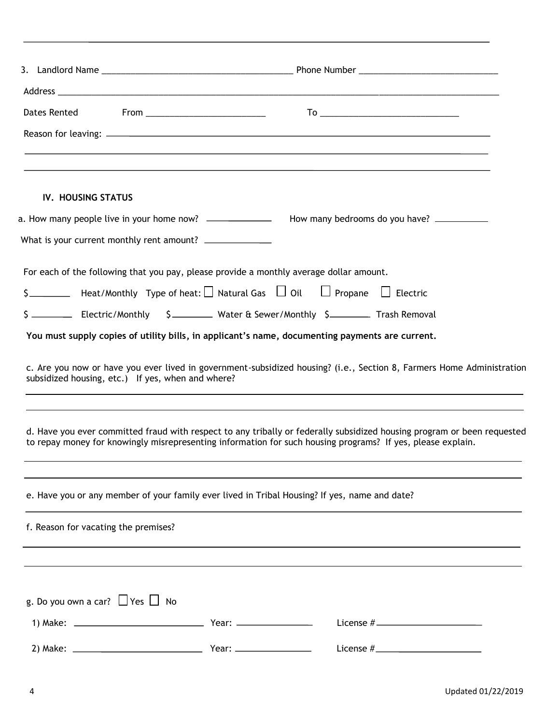| <b>IV. HOUSING STATUS</b>                         |                                                                                                                                                                                                                                        |  |
|---------------------------------------------------|----------------------------------------------------------------------------------------------------------------------------------------------------------------------------------------------------------------------------------------|--|
|                                                   |                                                                                                                                                                                                                                        |  |
|                                                   |                                                                                                                                                                                                                                        |  |
|                                                   | For each of the following that you pay, please provide a monthly average dollar amount.                                                                                                                                                |  |
|                                                   | $\zeta$ $\Box$ Heat/Monthly Type of heat: $\Box$ Natural Gas $\Box$ Oil $\Box$ Propane $\Box$ Electric                                                                                                                                 |  |
|                                                   | \$ _____________ Electric/Monthly 5_____________ Water & Sewer/Monthly \$__________ Trash Removal                                                                                                                                      |  |
|                                                   | You must supply copies of utility bills, in applicant's name, documenting payments are current.                                                                                                                                        |  |
|                                                   | c. Are you now or have you ever lived in government-subsidized housing? (i.e., Section 8, Farmers Home Administration                                                                                                                  |  |
| subsidized housing, etc.) If yes, when and where? | <u> 1989 - Johann Stoff, amerikansk politiker (d. 1989)</u>                                                                                                                                                                            |  |
|                                                   | d. Have you ever committed fraud with respect to any tribally or federally subsidized housing program or been requested<br>to repay money for knowingly misrepresenting information for such housing programs? If yes, please explain. |  |
|                                                   | e. Have you or any member of your family ever lived in Tribal Housing? If yes, name and date?                                                                                                                                          |  |
| f. Reason for vacating the premises?              |                                                                                                                                                                                                                                        |  |
|                                                   |                                                                                                                                                                                                                                        |  |
|                                                   |                                                                                                                                                                                                                                        |  |
| g. Do you own a car? $\Box$ Yes $\Box$ No         |                                                                                                                                                                                                                                        |  |
|                                                   |                                                                                                                                                                                                                                        |  |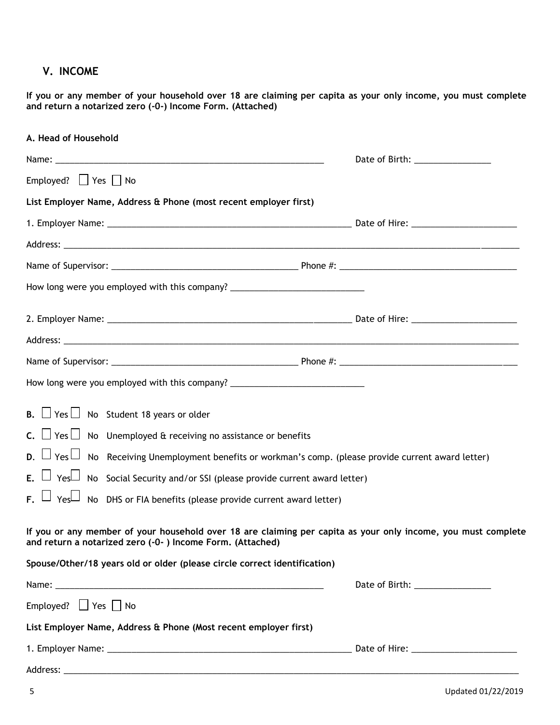## **V. INCOME**

**If you or any member of your household over 18 are claiming per capita as your only income, you must complete and return a notarized zero (-0-) Income Form. (Attached)**

| A. Head of Household                                                                                                                                                       |  |
|----------------------------------------------------------------------------------------------------------------------------------------------------------------------------|--|
|                                                                                                                                                                            |  |
| Employed? $\Box$ Yes $\Box$ No                                                                                                                                             |  |
| List Employer Name, Address & Phone (most recent employer first)                                                                                                           |  |
|                                                                                                                                                                            |  |
|                                                                                                                                                                            |  |
|                                                                                                                                                                            |  |
| How long were you employed with this company? __________________________________                                                                                           |  |
|                                                                                                                                                                            |  |
|                                                                                                                                                                            |  |
|                                                                                                                                                                            |  |
| How long were you employed with this company? __________________________________                                                                                           |  |
| <b>B.</b> $\Box$ Yes $\Box$ No Student 18 years or older                                                                                                                   |  |
| C. $\Box$ Yes $\Box$ No Unemployed & receiving no assistance or benefits                                                                                                   |  |
| D. $\Box$ Yes $\Box$ No Receiving Unemployment benefits or workman's comp. (please provide current award letter)                                                           |  |
| E. $\Box$ Yes $\Box$ No Social Security and/or SSI (please provide current award letter)                                                                                   |  |
| F. $\Box$ Yes $\Box$ No DHS or FIA benefits (please provide current award letter)                                                                                          |  |
| If you or any member of your household over 18 are claiming per capita as your only income, you must complete<br>and return a notarized zero (-0-) Income Form. (Attached) |  |
| Spouse/Other/18 years old or older (please circle correct identification)                                                                                                  |  |
|                                                                                                                                                                            |  |
| Employed? $\Box$ Yes $\Box$ No                                                                                                                                             |  |
| List Employer Name, Address & Phone (Most recent employer first)                                                                                                           |  |
|                                                                                                                                                                            |  |
|                                                                                                                                                                            |  |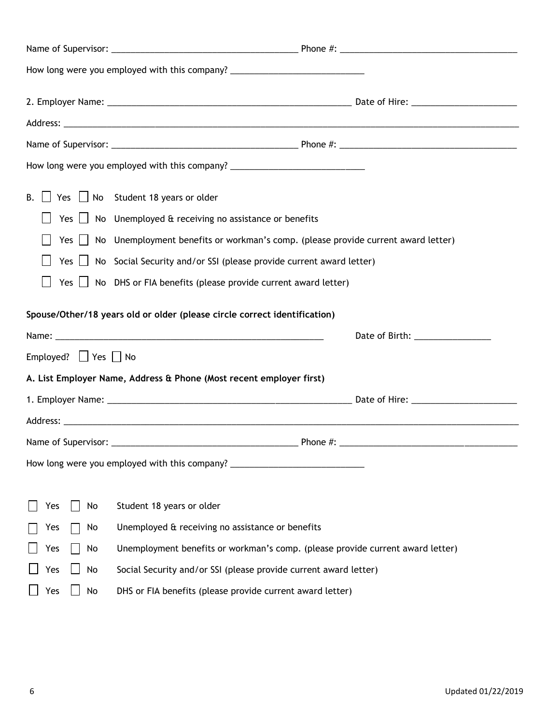|                                | How long were you employed with this company? __________________________________        |
|--------------------------------|-----------------------------------------------------------------------------------------|
|                                |                                                                                         |
|                                |                                                                                         |
|                                |                                                                                         |
|                                | How long were you employed with this company? __________________________________        |
|                                | B. $\Box$ Yes $\Box$ No Student 18 years or older                                       |
|                                | Yes $\Box$ No Unemployed & receiving no assistance or benefits                          |
|                                | Yes   No Unemployment benefits or workman's comp. (please provide current award letter) |
|                                | Yes $\Box$ No Social Security and/or SSI (please provide current award letter)          |
|                                | Yes $\Box$ No DHS or FIA benefits (please provide current award letter)                 |
|                                | Spouse/Other/18 years old or older (please circle correct identification)               |
|                                |                                                                                         |
| Employed? $\Box$ Yes $\Box$ No |                                                                                         |
|                                | A. List Employer Name, Address & Phone (Most recent employer first)                     |
|                                |                                                                                         |
|                                |                                                                                         |
|                                |                                                                                         |
|                                | How long were you employed with this company? __________________________________        |
| No<br>Yes                      | Student 18 years or older                                                               |
| Yes<br>No                      | Unemployed & receiving no assistance or benefits                                        |
| Yes<br>No                      | Unemployment benefits or workman's comp. (please provide current award letter)          |
| Yes<br>No                      | Social Security and/or SSI (please provide current award letter)                        |
| No<br>Yes                      | DHS or FIA benefits (please provide current award letter)                               |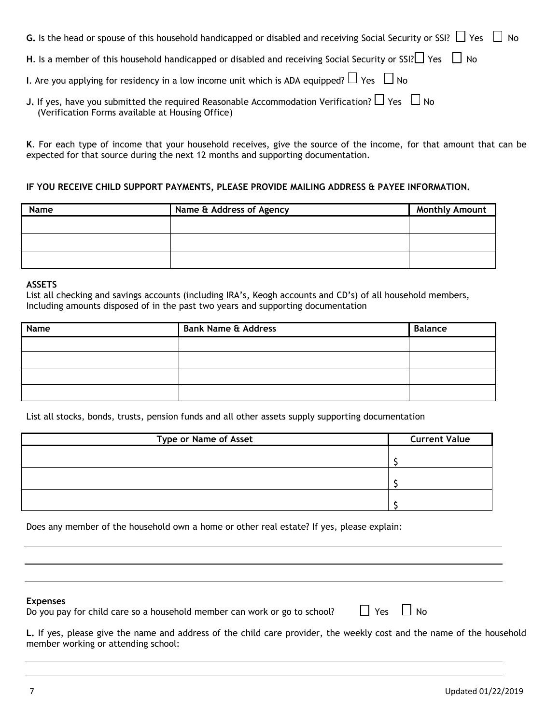| <b>G.</b> Is the head or spouse of this household handicapped or disabled and receiving Social Security or SSI? $\Box$ Yes $\Box$ No                              |
|-------------------------------------------------------------------------------------------------------------------------------------------------------------------|
| H. Is a member of this household handicapped or disabled and receiving Social Security or SSI? $\Box$ Yes $\Box$ No                                               |
| I. Are you applying for residency in a low income unit which is ADA equipped? $\Box$ Yes $\Box$ No                                                                |
| <b>J.</b> If yes, have you submitted the required Reasonable Accommodation Verification? $\Box$ Yes $\Box$ No<br>(Verification Forms available at Housing Office) |

**K**. For each type of income that your household receives, give the source of the income, for that amount that can be expected for that source during the next 12 months and supporting documentation.

#### **IF YOU RECEIVE CHILD SUPPORT PAYMENTS, PLEASE PROVIDE MAILING ADDRESS & PAYEE INFORMATION.**

| Name | Name & Address of Agency | <b>Monthly Amount</b> |
|------|--------------------------|-----------------------|
|      |                          |                       |
|      |                          |                       |
|      |                          |                       |
|      |                          |                       |
|      |                          |                       |

#### **ASSETS**

List all checking and savings accounts (including IRA's, Keogh accounts and CD's) of all household members, Including amounts disposed of in the past two years and supporting documentation

| Name | <b>Bank Name &amp; Address</b> | <b>Balance</b> |
|------|--------------------------------|----------------|
|      |                                |                |
|      |                                |                |
|      |                                |                |
|      |                                |                |

List all stocks, bonds, trusts, pension funds and all other assets supply supporting documentation

| <b>Type or Name of Asset</b> | <b>Current Value</b> |
|------------------------------|----------------------|
|                              |                      |
|                              |                      |
|                              |                      |
|                              |                      |
|                              |                      |
|                              |                      |

Does any member of the household own a home or other real estate? If yes, please explain:

#### **Expenses**

Do you pay for child care so a household member can work or go to school?  $\Box$  Yes  $\Box$  No

| ×<br>×<br>۰, |  |
|--------------|--|
|              |  |

**L.** If yes, please give the name and address of the child care provider, the weekly cost and the name of the household member working or attending school: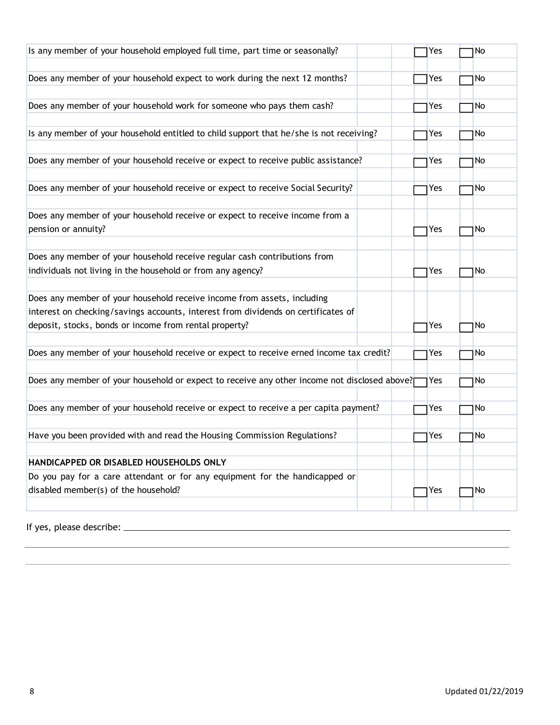| Is any member of your household employed full time, part time or seasonally?                 | Yes | No  |
|----------------------------------------------------------------------------------------------|-----|-----|
|                                                                                              |     |     |
| Does any member of your household expect to work during the next 12 months?                  | Yes | No. |
|                                                                                              |     |     |
| Does any member of your household work for someone who pays them cash?                       | Yes | No  |
|                                                                                              |     |     |
| Is any member of your household entitled to child support that he/she is not receiving?      | Yes | No. |
|                                                                                              |     |     |
| Does any member of your household receive or expect to receive public assistance?            | Yes | No. |
|                                                                                              |     |     |
| Does any member of your household receive or expect to receive Social Security?              | Yes | No  |
|                                                                                              |     |     |
| Does any member of your household receive or expect to receive income from a                 |     |     |
| pension or annuity?                                                                          | Yes | No  |
|                                                                                              |     |     |
| Does any member of your household receive regular cash contributions from                    |     |     |
| individuals not living in the household or from any agency?                                  | Yes | No. |
| Does any member of your household receive income from assets, including                      |     |     |
| interest on checking/savings accounts, interest from dividends on certificates of            |     |     |
| deposit, stocks, bonds or income from rental property?                                       | Yes | No. |
|                                                                                              |     |     |
| Does any member of your household receive or expect to receive erned income tax credit?      | Yes | No  |
|                                                                                              |     |     |
| Does any member of your household or expect to receive any other income not disclosed above? | Yes | No  |
|                                                                                              |     |     |
| Does any member of your household receive or expect to receive a per capita payment?         | Yes | No  |
|                                                                                              |     |     |
| Have you been provided with and read the Housing Commission Regulations?                     | Yes | No. |
|                                                                                              |     |     |
| HANDICAPPED OR DISABLED HOUSEHOLDS ONLY                                                      |     |     |
| Do you pay for a care attendant or for any equipment for the handicapped or                  |     |     |
| disabled member(s) of the household?                                                         | Yes | No  |
|                                                                                              |     |     |
|                                                                                              |     |     |

If yes, please describe: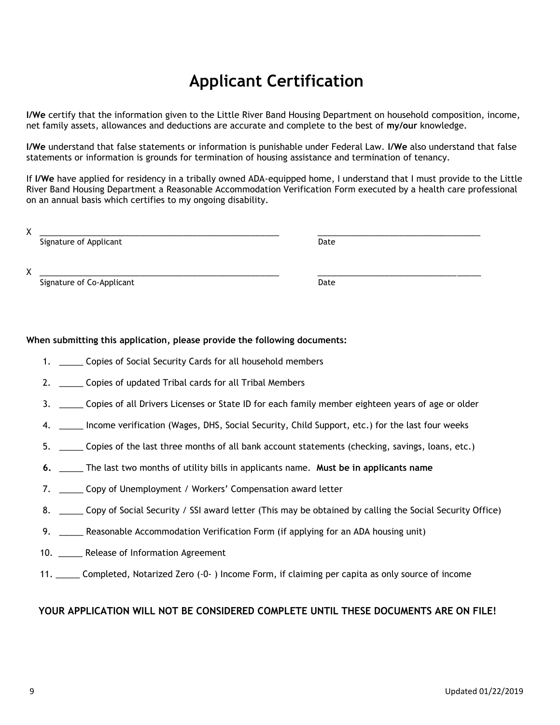# **Applicant Certification**

**I/We** certify that the information given to the Little River Band Housing Department on household composition, income, net family assets, allowances and deductions are accurate and complete to the best of **my/our** knowledge.

**I/We** understand that false statements or information is punishable under Federal Law. **I/We** also understand that false statements or information is grounds for termination of housing assistance and termination of tenancy.

If **I/We** have applied for residency in a tribally owned ADA-equipped home, I understand that I must provide to the Little River Band Housing Department a Reasonable Accommodation Verification Form executed by a health care professional on an annual basis which certifies to my ongoing disability.

| v<br>∧ |                           |      |
|--------|---------------------------|------|
|        | Signature of Applicant    | Date |
|        |                           |      |
|        |                           |      |
| v<br>∧ |                           |      |
|        | Signature of Co-Applicant | Date |

#### **When submitting this application, please provide the following documents:**

- 1. \_\_\_\_\_ Copies of Social Security Cards for all household members
- 2. \_\_\_\_\_\_ Copies of updated Tribal cards for all Tribal Members
- 3. \_\_\_\_\_ Copies of all Drivers Licenses or State ID for each family member eighteen years of age or older
- 4. \_\_\_\_ Income verification (Wages, DHS, Social Security, Child Support, etc.) for the last four weeks
- 5. \_\_\_\_\_ Copies of the last three months of all bank account statements (checking, savings, loans, etc.)
- **6.** \_\_\_\_\_ The last two months of utility bills in applicants name. **Must be in applicants name**
- 7. \_\_\_\_\_ Copy of Unemployment / Workers' Compensation award letter
- 8. \_\_\_\_\_ Copy of Social Security / SSI award letter (This may be obtained by calling the Social Security Office)
- 9. \_\_\_\_\_ Reasonable Accommodation Verification Form (if applying for an ADA housing unit)
- 10. \_\_\_\_\_ Release of Information Agreement
- 11. \_\_\_\_\_ Completed, Notarized Zero (-0- ) Income Form, if claiming per capita as only source of income

#### **YOUR APPLICATION WILL NOT BE CONSIDERED COMPLETE UNTIL THESE DOCUMENTS ARE ON FILE!**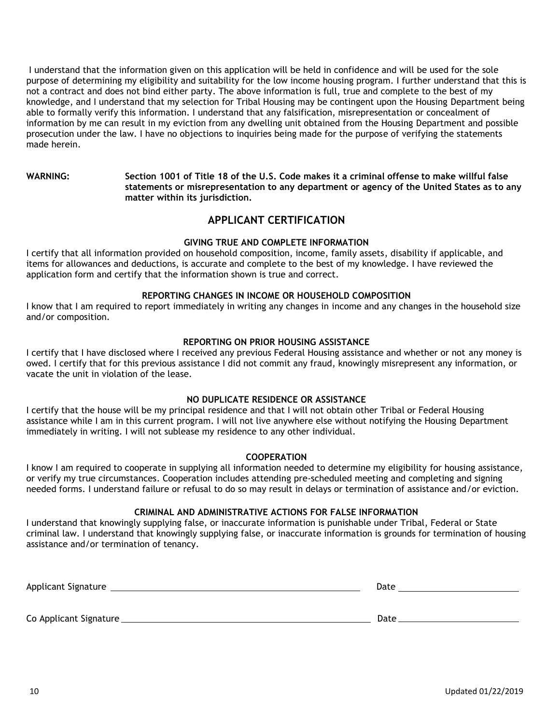I understand that the information given on this application will be held in confidence and will be used for the sole purpose of determining my eligibility and suitability for the low income housing program. I further understand that this is not a contract and does not bind either party. The above information is full, true and complete to the best of my knowledge, and I understand that my selection for Tribal Housing may be contingent upon the Housing Department being able to formally verify this information. I understand that any falsification, misrepresentation or concealment of information by me can result in my eviction from any dwelling unit obtained from the Housing Department and possible prosecution under the law. I have no objections to inquiries being made for the purpose of verifying the statements made herein.

**WARNING: Section 1001 of Title 18 of the U.S. Code makes it a criminal offense to make willful false statements or misrepresentation to any department or agency of the United States as to any matter within its jurisdiction.**

### **APPLICANT CERTIFICATION**

#### **GIVING TRUE AND COMPLETE INFORMATION**

I certify that all information provided on household composition, income, family assets, disability if applicable, and items for allowances and deductions, is accurate and complete to the best of my knowledge. I have reviewed the application form and certify that the information shown is true and correct.

#### **REPORTING CHANGES IN INCOME OR HOUSEHOLD COMPOSITION**

I know that I am required to report immediately in writing any changes in income and any changes in the household size and/or composition.

#### **REPORTING ON PRIOR HOUSING ASSISTANCE**

I certify that I have disclosed where I received any previous Federal Housing assistance and whether or not any money is owed. I certify that for this previous assistance I did not commit any fraud, knowingly misrepresent any information, or vacate the unit in violation of the lease.

#### **NO DUPLICATE RESIDENCE OR ASSISTANCE**

I certify that the house will be my principal residence and that I will not obtain other Tribal or Federal Housing assistance while I am in this current program. I will not live anywhere else without notifying the Housing Department immediately in writing. I will not sublease my residence to any other individual.

#### **COOPERATION**

I know I am required to cooperate in supplying all information needed to determine my eligibility for housing assistance, or verify my true circumstances. Cooperation includes attending pre-scheduled meeting and completing and signing needed forms. I understand failure or refusal to do so may result in delays or termination of assistance and/or eviction.

#### **CRIMINAL AND ADMINISTRATIVE ACTIONS FOR FALSE INFORMATION**

I understand that knowingly supplying false, or inaccurate information is punishable under Tribal, Federal or State criminal law. I understand that knowingly supplying false, or inaccurate information is grounds for termination of housing assistance and/or termination of tenancy.

Applicant Signature Date Co Applicant Signature Date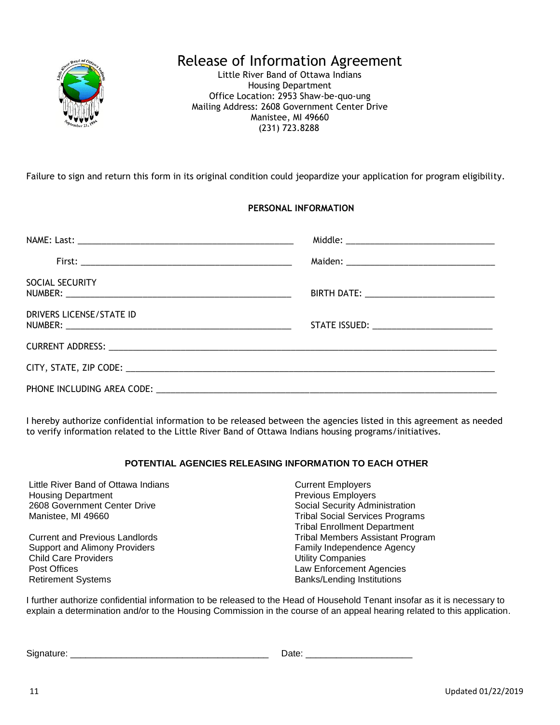

# Release of Information Agreement

Little River Band of Ottawa Indians Housing Department Office Location: 2953 Shaw-be-quo-ung Mailing Address: 2608 Government Center Drive Manistee, MI 49660 (231) 723.8288

Failure to sign and return this form in its original condition could jeopardize your application for program eligibility.

### **PERSONAL INFORMATION**

| SOCIAL SECURITY          | BIRTH DATE: _________________________________ |
|--------------------------|-----------------------------------------------|
| DRIVERS LICENSE/STATE ID |                                               |
|                          |                                               |
|                          |                                               |
|                          |                                               |

I hereby authorize confidential information to be released between the agencies listed in this agreement as needed to verify information related to the Little River Band of Ottawa Indians housing programs/initiatives.

#### **POTENTIAL AGENCIES RELEASING INFORMATION TO EACH OTHER**

| Little River Band of Ottawa Indians   | <b>Current Employers</b>                |
|---------------------------------------|-----------------------------------------|
| <b>Housing Department</b>             | <b>Previous Employers</b>               |
| 2608 Government Center Drive          | Social Security Administration          |
| Manistee, MI 49660                    | <b>Tribal Social Services Programs</b>  |
|                                       | <b>Tribal Enrollment Department</b>     |
| <b>Current and Previous Landlords</b> | <b>Tribal Members Assistant Program</b> |
| <b>Support and Alimony Providers</b>  | Family Independence Agency              |
| <b>Child Care Providers</b>           | <b>Utility Companies</b>                |
| Post Offices                          | Law Enforcement Agencies                |
| <b>Retirement Systems</b>             | <b>Banks/Lending Institutions</b>       |

I further authorize confidential information to be released to the Head of Household Tenant insofar as it is necessary to explain a determination and/or to the Housing Commission in the course of an appeal hearing related to this application.

Signature: \_\_\_\_\_\_\_\_\_\_\_\_\_\_\_\_\_\_\_\_\_\_\_\_\_\_\_\_\_\_\_\_\_\_\_\_\_\_\_ Date: \_\_\_\_\_\_\_\_\_\_\_\_\_\_\_\_\_\_\_\_\_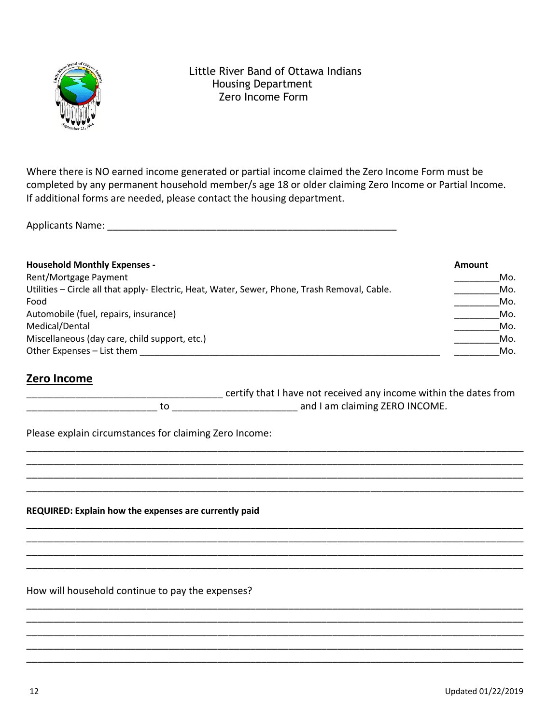

## Little River Band of Ottawa Indians Housing Department Zero Income Form

Where there is NO earned income generated or partial income claimed the Zero Income Form must be completed by any permanent household member/s age 18 or older claiming Zero Income or Partial Income. If additional forms are needed, please contact the housing department.

Applicants Name: \_\_\_\_\_\_\_\_\_\_\_\_\_\_\_\_\_\_\_\_\_\_\_\_\_\_\_\_\_\_\_\_\_\_\_\_\_\_\_\_\_\_\_\_\_\_\_\_\_\_\_\_\_

| <b>Household Monthly Expenses -</b>                                                           | <b>Amount</b> |
|-----------------------------------------------------------------------------------------------|---------------|
| Rent/Mortgage Payment                                                                         | Mo.           |
| Utilities - Circle all that apply- Electric, Heat, Water, Sewer, Phone, Trash Removal, Cable. | Mo.           |
| Food                                                                                          | Mo.           |
| Automobile (fuel, repairs, insurance)                                                         | Mo.           |
| Medical/Dental                                                                                | Mo.           |
| Miscellaneous (day care, child support, etc.)                                                 | Mo.           |
| Other Expenses - List them                                                                    | Mo.           |

# **Zero Income**

certify that I have not received any income within the dates from \_\_\_\_\_\_\_\_\_\_\_\_\_\_\_\_\_\_\_\_\_\_\_\_ to \_\_\_\_\_\_\_\_\_\_\_\_\_\_\_\_\_\_\_\_\_\_\_ and I am claiming ZERO INCOME.

\_\_\_\_\_\_\_\_\_\_\_\_\_\_\_\_\_\_\_\_\_\_\_\_\_\_\_\_\_\_\_\_\_\_\_\_\_\_\_\_\_\_\_\_\_\_\_\_\_\_\_\_\_\_\_\_\_\_\_\_\_\_\_\_\_\_\_\_\_\_\_\_\_\_\_\_\_\_\_\_\_\_\_\_\_\_\_\_\_\_\_ \_\_\_\_\_\_\_\_\_\_\_\_\_\_\_\_\_\_\_\_\_\_\_\_\_\_\_\_\_\_\_\_\_\_\_\_\_\_\_\_\_\_\_\_\_\_\_\_\_\_\_\_\_\_\_\_\_\_\_\_\_\_\_\_\_\_\_\_\_\_\_\_\_\_\_\_\_\_\_\_\_\_\_\_\_\_\_\_\_\_\_ \_\_\_\_\_\_\_\_\_\_\_\_\_\_\_\_\_\_\_\_\_\_\_\_\_\_\_\_\_\_\_\_\_\_\_\_\_\_\_\_\_\_\_\_\_\_\_\_\_\_\_\_\_\_\_\_\_\_\_\_\_\_\_\_\_\_\_\_\_\_\_\_\_\_\_\_\_\_\_\_\_\_\_\_\_\_\_\_\_\_\_ \_\_\_\_\_\_\_\_\_\_\_\_\_\_\_\_\_\_\_\_\_\_\_\_\_\_\_\_\_\_\_\_\_\_\_\_\_\_\_\_\_\_\_\_\_\_\_\_\_\_\_\_\_\_\_\_\_\_\_\_\_\_\_\_\_\_\_\_\_\_\_\_\_\_\_\_\_\_\_\_\_\_\_\_\_\_\_\_\_\_\_

\_\_\_\_\_\_\_\_\_\_\_\_\_\_\_\_\_\_\_\_\_\_\_\_\_\_\_\_\_\_\_\_\_\_\_\_\_\_\_\_\_\_\_\_\_\_\_\_\_\_\_\_\_\_\_\_\_\_\_\_\_\_\_\_\_\_\_\_\_\_\_\_\_\_\_\_\_\_\_\_\_\_\_\_\_\_\_\_\_\_\_ \_\_\_\_\_\_\_\_\_\_\_\_\_\_\_\_\_\_\_\_\_\_\_\_\_\_\_\_\_\_\_\_\_\_\_\_\_\_\_\_\_\_\_\_\_\_\_\_\_\_\_\_\_\_\_\_\_\_\_\_\_\_\_\_\_\_\_\_\_\_\_\_\_\_\_\_\_\_\_\_\_\_\_\_\_\_\_\_\_\_\_ \_\_\_\_\_\_\_\_\_\_\_\_\_\_\_\_\_\_\_\_\_\_\_\_\_\_\_\_\_\_\_\_\_\_\_\_\_\_\_\_\_\_\_\_\_\_\_\_\_\_\_\_\_\_\_\_\_\_\_\_\_\_\_\_\_\_\_\_\_\_\_\_\_\_\_\_\_\_\_\_\_\_\_\_\_\_\_\_\_\_\_ \_\_\_\_\_\_\_\_\_\_\_\_\_\_\_\_\_\_\_\_\_\_\_\_\_\_\_\_\_\_\_\_\_\_\_\_\_\_\_\_\_\_\_\_\_\_\_\_\_\_\_\_\_\_\_\_\_\_\_\_\_\_\_\_\_\_\_\_\_\_\_\_\_\_\_\_\_\_\_\_\_\_\_\_\_\_\_\_\_\_\_

\_\_\_\_\_\_\_\_\_\_\_\_\_\_\_\_\_\_\_\_\_\_\_\_\_\_\_\_\_\_\_\_\_\_\_\_\_\_\_\_\_\_\_\_\_\_\_\_\_\_\_\_\_\_\_\_\_\_\_\_\_\_\_\_\_\_\_\_\_\_\_\_\_\_\_\_\_\_\_\_\_\_\_\_\_\_\_\_\_\_\_ \_\_\_\_\_\_\_\_\_\_\_\_\_\_\_\_\_\_\_\_\_\_\_\_\_\_\_\_\_\_\_\_\_\_\_\_\_\_\_\_\_\_\_\_\_\_\_\_\_\_\_\_\_\_\_\_\_\_\_\_\_\_\_\_\_\_\_\_\_\_\_\_\_\_\_\_\_\_\_\_\_\_\_\_\_\_\_\_\_\_\_ \_\_\_\_\_\_\_\_\_\_\_\_\_\_\_\_\_\_\_\_\_\_\_\_\_\_\_\_\_\_\_\_\_\_\_\_\_\_\_\_\_\_\_\_\_\_\_\_\_\_\_\_\_\_\_\_\_\_\_\_\_\_\_\_\_\_\_\_\_\_\_\_\_\_\_\_\_\_\_\_\_\_\_\_\_\_\_\_\_\_\_ \_\_\_\_\_\_\_\_\_\_\_\_\_\_\_\_\_\_\_\_\_\_\_\_\_\_\_\_\_\_\_\_\_\_\_\_\_\_\_\_\_\_\_\_\_\_\_\_\_\_\_\_\_\_\_\_\_\_\_\_\_\_\_\_\_\_\_\_\_\_\_\_\_\_\_\_\_\_\_\_\_\_\_\_\_\_\_\_\_\_\_ \_\_\_\_\_\_\_\_\_\_\_\_\_\_\_\_\_\_\_\_\_\_\_\_\_\_\_\_\_\_\_\_\_\_\_\_\_\_\_\_\_\_\_\_\_\_\_\_\_\_\_\_\_\_\_\_\_\_\_\_\_\_\_\_\_\_\_\_\_\_\_\_\_\_\_\_\_\_\_\_\_\_\_\_\_\_\_\_\_\_\_

Please explain circumstances for claiming Zero Income:

**REQUIRED: Explain how the expenses are currently paid** 

How will household continue to pay the expenses?